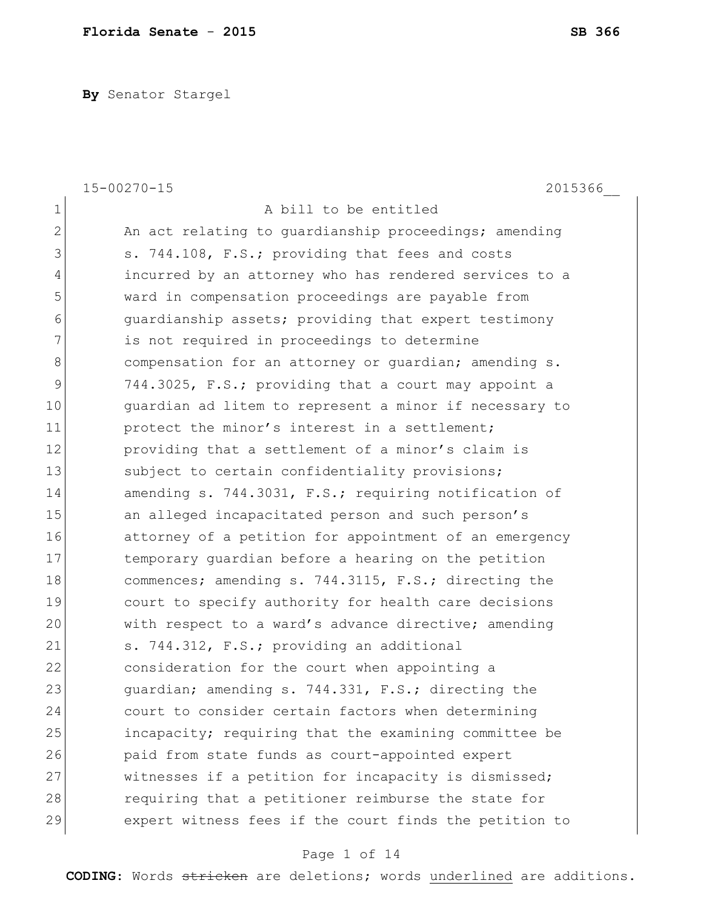**By** Senator Stargel

|                | $15 - 00270 - 15$<br>2015366                           |
|----------------|--------------------------------------------------------|
| $\mathbf 1$    | A bill to be entitled                                  |
| $\overline{2}$ | An act relating to guardianship proceedings; amending  |
| 3              | s. 744.108, F.S.; providing that fees and costs        |
| $\overline{4}$ | incurred by an attorney who has rendered services to a |
| 5              | ward in compensation proceedings are payable from      |
| 6              | quardianship assets; providing that expert testimony   |
| 7              | is not required in proceedings to determine            |
| $8\,$          | compensation for an attorney or quardian; amending s.  |
| 9              | 744.3025, F.S.; providing that a court may appoint a   |
| 10             | guardian ad litem to represent a minor if necessary to |
| 11             | protect the minor's interest in a settlement;          |
| 12             | providing that a settlement of a minor's claim is      |
| 13             | subject to certain confidentiality provisions;         |
| 14             | amending s. 744.3031, F.S.; requiring notification of  |
| 15             | an alleged incapacitated person and such person's      |
| 16             | attorney of a petition for appointment of an emergency |
| 17             | temporary quardian before a hearing on the petition    |
| 18             | commences; amending s. 744.3115, F.S.; directing the   |
| 19             | court to specify authority for health care decisions   |
| 20             | with respect to a ward's advance directive; amending   |
| 21             | s. 744.312, F.S.; providing an additional              |
| 22             | consideration for the court when appointing a          |
| 23             | guardian; amending s. 744.331, F.S.; directing the     |
| 24             | court to consider certain factors when determining     |
| 25             | incapacity; requiring that the examining committee be  |
| 26             | paid from state funds as court-appointed expert        |
| 27             | witnesses if a petition for incapacity is dismissed;   |
| 28             | requiring that a petitioner reimburse the state for    |
| 29             | expert witness fees if the court finds the petition to |

# Page 1 of 14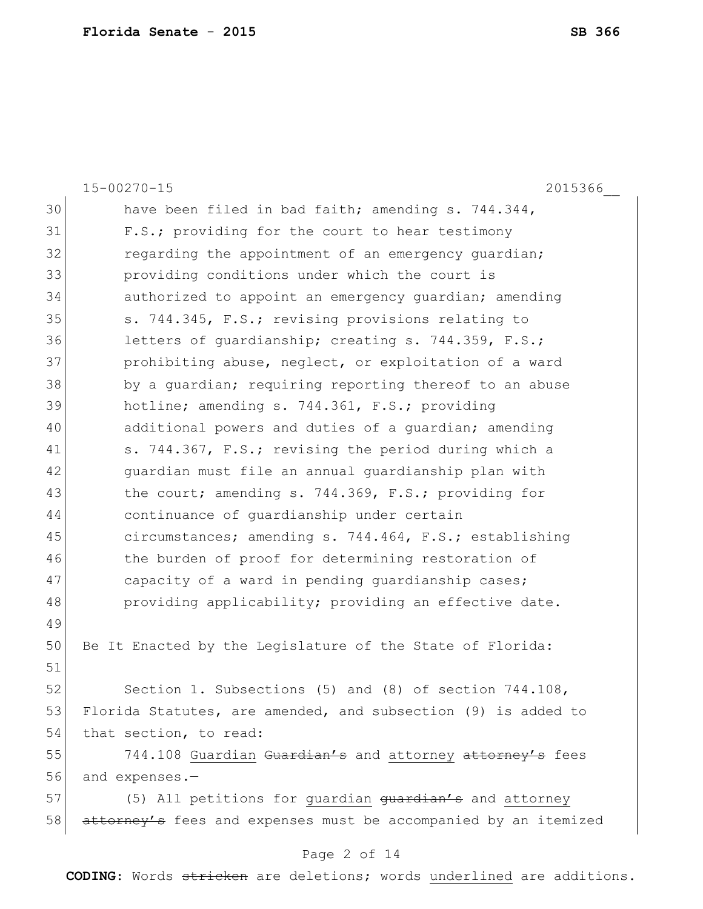|    | $15 - 00270 - 15$<br>2015366                                    |
|----|-----------------------------------------------------------------|
| 30 | have been filed in bad faith; amending s. 744.344,              |
| 31 | F.S.; providing for the court to hear testimony                 |
| 32 | regarding the appointment of an emergency guardian;             |
| 33 | providing conditions under which the court is                   |
| 34 | authorized to appoint an emergency quardian; amending           |
| 35 | s. 744.345, F.S.; revising provisions relating to               |
| 36 | letters of quardianship; creating s. 744.359, F.S.;             |
| 37 | prohibiting abuse, neglect, or exploitation of a ward           |
| 38 | by a quardian; requiring reporting thereof to an abuse          |
| 39 | hotline; amending s. 744.361, F.S.; providing                   |
| 40 | additional powers and duties of a quardian; amending            |
| 41 | s. 744.367, F.S.; revising the period during which a            |
| 42 | guardian must file an annual guardianship plan with             |
| 43 | the court; amending s. 744.369, F.S.; providing for             |
| 44 | continuance of quardianship under certain                       |
| 45 | circumstances; amending s. 744.464, F.S.; establishing          |
| 46 | the burden of proof for determining restoration of              |
| 47 | capacity of a ward in pending quardianship cases;               |
| 48 | providing applicability; providing an effective date.           |
| 49 |                                                                 |
| 50 | Be It Enacted by the Legislature of the State of Florida:       |
| 51 |                                                                 |
| 52 | Section 1. Subsections (5) and (8) of section 744.108,          |
| 53 | Florida Statutes, are amended, and subsection (9) is added to   |
| 54 | that section, to read:                                          |
| 55 | 744.108 Guardian Guardian's and attorney attorney's fees        |
| 56 | and expenses.-                                                  |
| 57 | (5) All petitions for guardian guardian's and attorney          |
| 58 | attorney's fees and expenses must be accompanied by an itemized |

# Page 2 of 14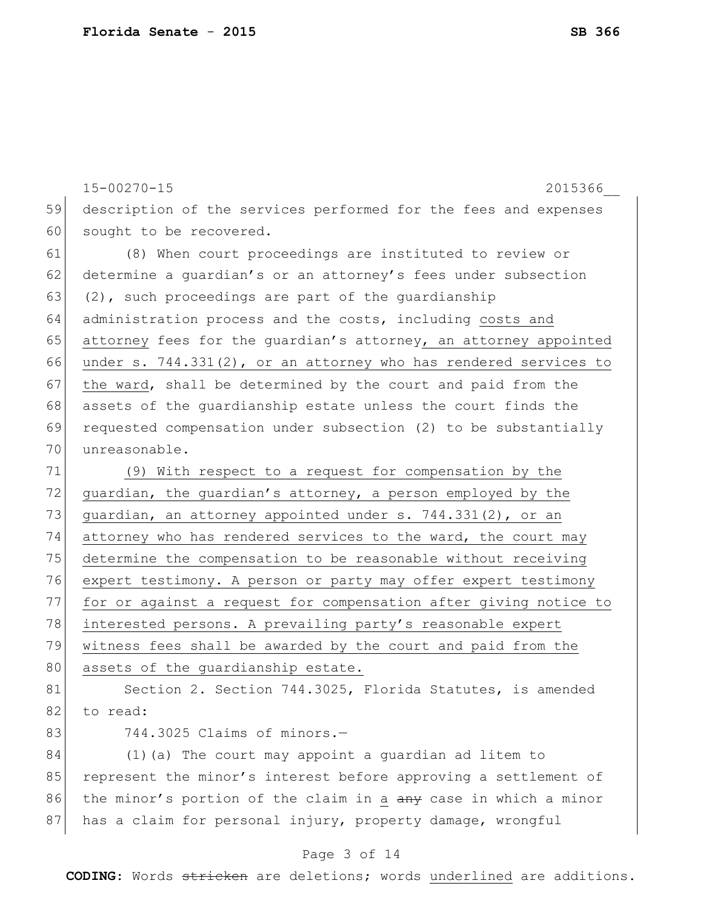|    | $15 - 00270 - 15$<br>2015366                                        |
|----|---------------------------------------------------------------------|
| 59 | description of the services performed for the fees and expenses     |
| 60 | sought to be recovered.                                             |
| 61 | (8) When court proceedings are instituted to review or              |
| 62 | determine a quardian's or an attorney's fees under subsection       |
| 63 | $(2)$ , such proceedings are part of the quardianship               |
| 64 | administration process and the costs, including costs and           |
| 65 | attorney fees for the guardian's attorney, an attorney appointed    |
| 66 | under s. $744.331(2)$ , or an attorney who has rendered services to |
| 67 | the ward, shall be determined by the court and paid from the        |
| 68 | assets of the quardianship estate unless the court finds the        |
| 69 | requested compensation under subsection (2) to be substantially     |
| 70 | unreasonable.                                                       |
| 71 | (9) With respect to a request for compensation by the               |
| 72 | guardian, the guardian's attorney, a person employed by the         |
| 73 | guardian, an attorney appointed under s. 744.331(2), or an          |
| 74 | attorney who has rendered services to the ward, the court may       |
| 75 | determine the compensation to be reasonable without receiving       |
| 76 | expert testimony. A person or party may offer expert testimony      |
| 77 | for or against a request for compensation after giving notice to    |
| 78 | interested persons. A prevailing party's reasonable expert          |
| 79 | witness fees shall be awarded by the court and paid from the        |
| 80 | assets of the quardianship estate.                                  |
| 81 | Section 2. Section 744.3025, Florida Statutes, is amended           |
| 82 | to read:                                                            |
| 83 | 744.3025 Claims of minors.-                                         |
| 84 | (1) (a) The court may appoint a quardian ad litem to                |
| 85 | represent the minor's interest before approving a settlement of     |
| 86 | the minor's portion of the claim in a any case in which a minor     |
| 87 | has a claim for personal injury, property damage, wrongful          |

# Page 3 of 14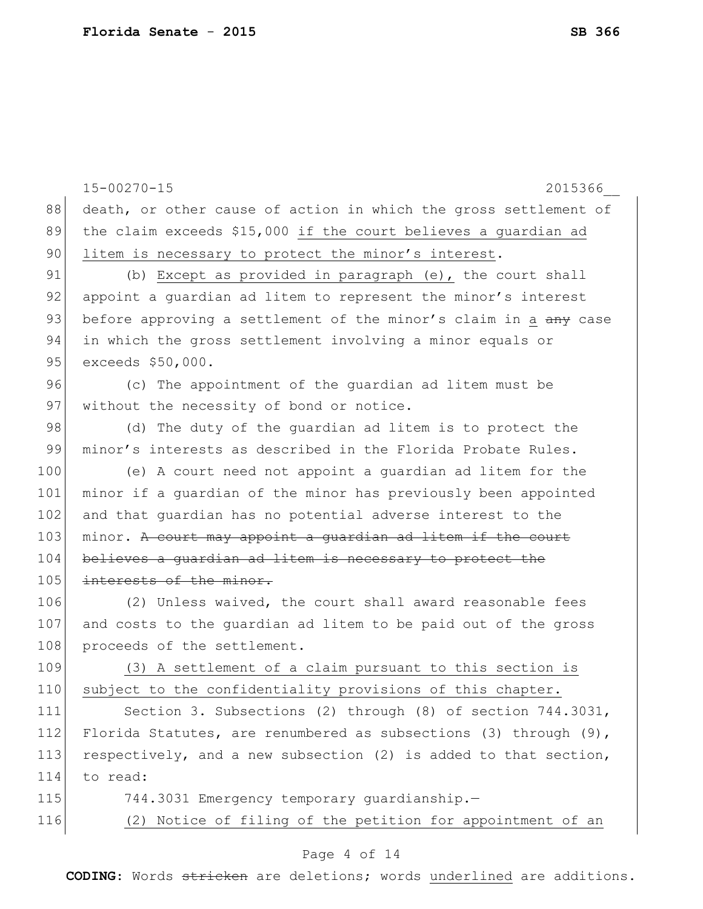|     | $15 - 00270 - 15$<br>2015366                                        |
|-----|---------------------------------------------------------------------|
| 88  | death, or other cause of action in which the gross settlement of    |
| 89  | the claim exceeds \$15,000 if the court believes a guardian ad      |
| 90  | litem is necessary to protect the minor's interest.                 |
| 91  | (b) Except as provided in paragraph (e), the court shall            |
| 92  | appoint a quardian ad litem to represent the minor's interest       |
| 93  | before approving a settlement of the minor's claim in a any case    |
| 94  | in which the gross settlement involving a minor equals or           |
| 95  | exceeds \$50,000.                                                   |
| 96  | (c) The appointment of the quardian ad litem must be                |
| 97  | without the necessity of bond or notice.                            |
| 98  | (d) The duty of the quardian ad litem is to protect the             |
| 99  | minor's interests as described in the Florida Probate Rules.        |
| 100 | (e) A court need not appoint a quardian ad litem for the            |
| 101 | minor if a quardian of the minor has previously been appointed      |
| 102 | and that quardian has no potential adverse interest to the          |
| 103 | minor. A court may appoint a guardian ad litem if the court         |
| 104 | believes a quardian ad litem is necessary to protect the            |
| 105 | interests of the minor.                                             |
| 106 | (2) Unless waived, the court shall award reasonable fees            |
| 107 | and costs to the guardian ad litem to be paid out of the gross      |
| 108 | proceeds of the settlement.                                         |
| 109 | (3) A settlement of a claim pursuant to this section is             |
| 110 | subject to the confidentiality provisions of this chapter.          |
| 111 | Section 3. Subsections (2) through (8) of section 744.3031,         |
| 112 | Florida Statutes, are renumbered as subsections (3) through $(9)$ , |
| 113 | respectively, and a new subsection (2) is added to that section,    |
| 114 | to read:                                                            |
| 115 | 744.3031 Emergency temporary quardianship.-                         |
| 116 | (2) Notice of filing of the petition for appointment of an          |
|     |                                                                     |

### Page 4 of 14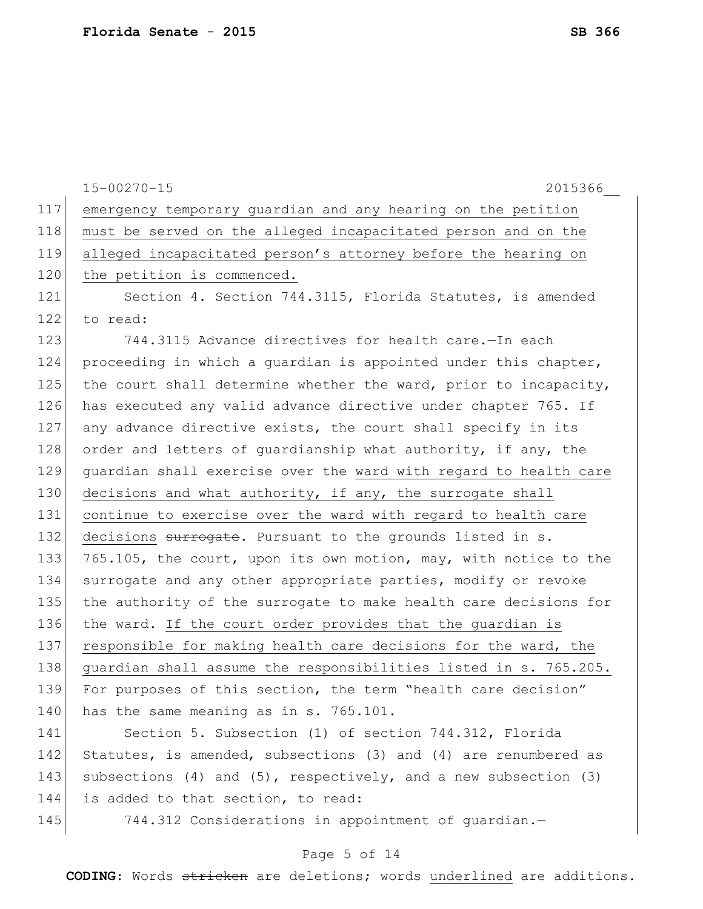|     | $15 - 00270 - 15$<br>2015366                                     |
|-----|------------------------------------------------------------------|
| 117 | emergency temporary quardian and any hearing on the petition     |
| 118 | must be served on the alleged incapacitated person and on the    |
| 119 | alleged incapacitated person's attorney before the hearing on    |
| 120 | the petition is commenced.                                       |
| 121 | Section 4. Section 744.3115, Florida Statutes, is amended        |
| 122 | to read:                                                         |
| 123 | 744.3115 Advance directives for health care.-In each             |
| 124 | proceeding in which a guardian is appointed under this chapter,  |
| 125 | the court shall determine whether the ward, prior to incapacity, |
| 126 | has executed any valid advance directive under chapter 765. If   |
| 127 | any advance directive exists, the court shall specify in its     |
| 128 | order and letters of quardianship what authority, if any, the    |
| 129 | guardian shall exercise over the ward with regard to health care |
| 130 | decisions and what authority, if any, the surrogate shall        |
| 131 | continue to exercise over the ward with regard to health care    |
| 132 | decisions surrogate. Pursuant to the grounds listed in s.        |
| 133 | 765.105, the court, upon its own motion, may, with notice to the |
| 134 | surrogate and any other appropriate parties, modify or revoke    |
| 135 | the authority of the surrogate to make health care decisions for |
| 136 | the ward. If the court order provides that the guardian is       |
| 137 | responsible for making health care decisions for the ward, the   |
| 138 | guardian shall assume the responsibilities listed in s. 765.205. |
| 139 | For purposes of this section, the term "health care decision"    |
| 140 | has the same meaning as in s. 765.101.                           |
| 141 | Section 5. Subsection (1) of section 744.312, Florida            |
| 142 | Statutes, is amended, subsections (3) and (4) are renumbered as  |
| 143 | subsections (4) and (5), respectively, and a new subsection (3)  |

144 is added to that section, to read:

145 744.312 Considerations in appointment of guardian.-

### Page 5 of 14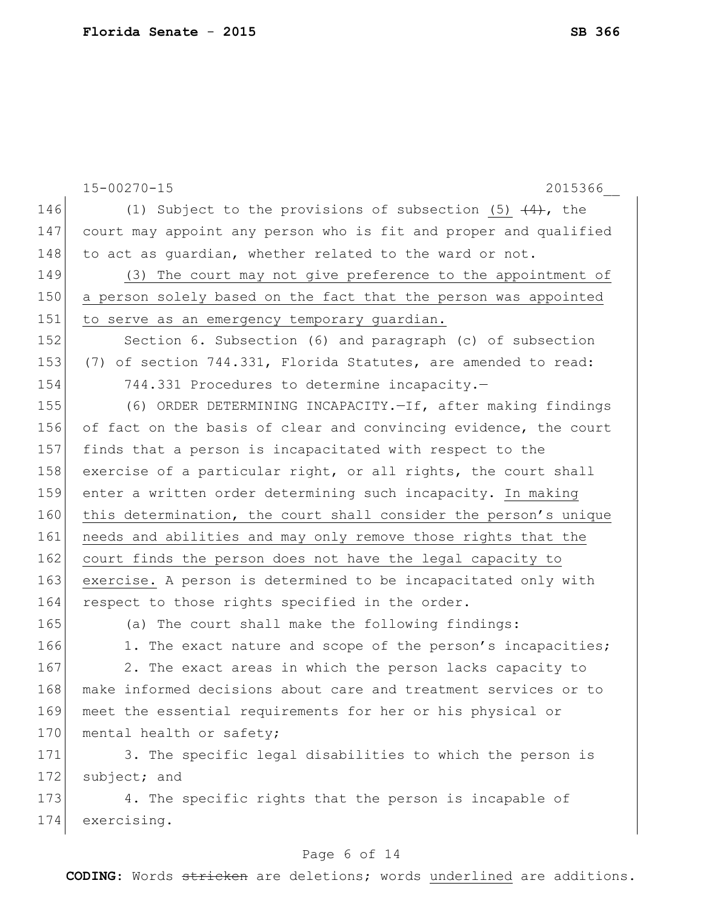|     | $15 - 00270 - 15$<br>2015366                                     |
|-----|------------------------------------------------------------------|
| 146 | (1) Subject to the provisions of subsection (5) $(4)$ , the      |
| 147 | court may appoint any person who is fit and proper and qualified |
| 148 | to act as guardian, whether related to the ward or not.          |
| 149 | (3) The court may not give preference to the appointment of      |
| 150 | a person solely based on the fact that the person was appointed  |
| 151 | to serve as an emergency temporary guardian.                     |
| 152 | Section 6. Subsection (6) and paragraph (c) of subsection        |
| 153 | (7) of section 744.331, Florida Statutes, are amended to read:   |
| 154 | 744.331 Procedures to determine incapacity.-                     |
| 155 | (6) ORDER DETERMINING INCAPACITY.-If, after making findings      |
| 156 | of fact on the basis of clear and convincing evidence, the court |
| 157 | finds that a person is incapacitated with respect to the         |
| 158 | exercise of a particular right, or all rights, the court shall   |
| 159 | enter a written order determining such incapacity. In making     |
| 160 | this determination, the court shall consider the person's unique |
| 161 | needs and abilities and may only remove those rights that the    |
| 162 | court finds the person does not have the legal capacity to       |
| 163 | exercise. A person is determined to be incapacitated only with   |
| 164 | respect to those rights specified in the order.                  |
| 165 | (a) The court shall make the following findings:                 |
| 166 | 1. The exact nature and scope of the person's incapacities;      |
| 167 | 2. The exact areas in which the person lacks capacity to         |
| 168 | make informed decisions about care and treatment services or to  |
| 169 | meet the essential requirements for her or his physical or       |
| 170 | mental health or safety;                                         |
| 171 | 3. The specific legal disabilities to which the person is        |
| 172 | subject; and                                                     |
| 173 | 4. The specific rights that the person is incapable of           |
| 174 | exercising.                                                      |
|     |                                                                  |

### Page 6 of 14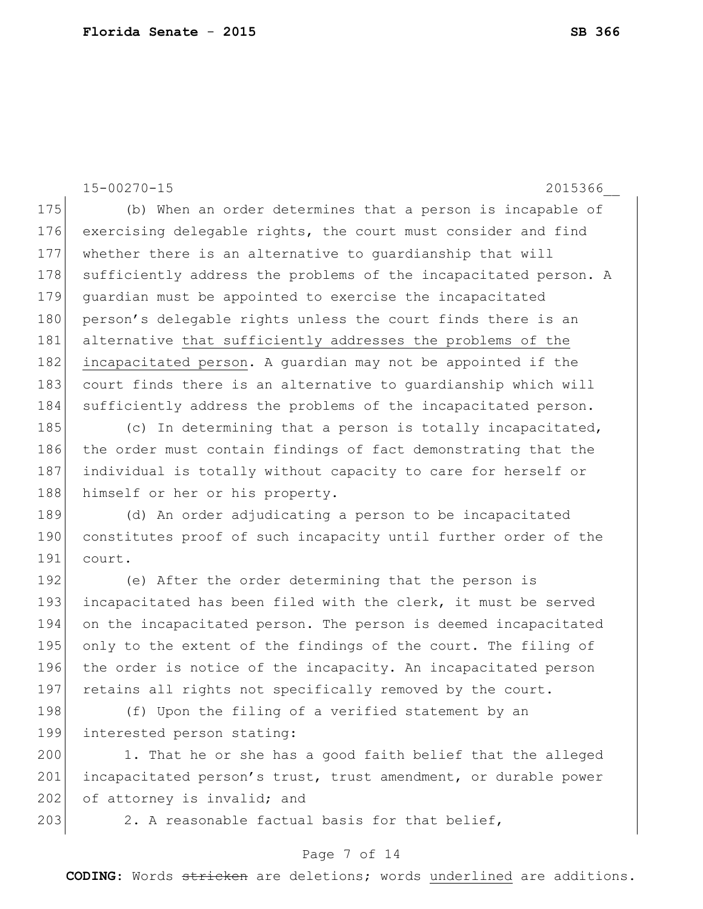15-00270-15 2015366\_\_ 175 (b) When an order determines that a person is incapable of 176 exercising delegable rights, the court must consider and find 177 whether there is an alternative to guardianship that will 178 sufficiently address the problems of the incapacitated person. A 179 guardian must be appointed to exercise the incapacitated 180 person's delegable rights unless the court finds there is an 181 alternative that sufficiently addresses the problems of the 182 incapacitated person. A quardian may not be appointed if the 183 court finds there is an alternative to quardianship which will 184 sufficiently address the problems of the incapacitated person. 185 (c) In determining that a person is totally incapacitated, 186 the order must contain findings of fact demonstrating that the 187 individual is totally without capacity to care for herself or 188 himself or her or his property. 189 (d) An order adjudicating a person to be incapacitated 190 constitutes proof of such incapacity until further order of the 191 court. 192 (e) After the order determining that the person is 193 incapacitated has been filed with the clerk, it must be served 194 on the incapacitated person. The person is deemed incapacitated 195 only to the extent of the findings of the court. The filing of 196 the order is notice of the incapacity. An incapacitated person 197 retains all rights not specifically removed by the court. 198 (f) Upon the filing of a verified statement by an 199 interested person stating: 200 1. That he or she has a good faith belief that the alleged 201 incapacitated person's trust, trust amendment, or durable power

202 of attorney is invalid; and

203 2. A reasonable factual basis for that belief,

#### Page 7 of 14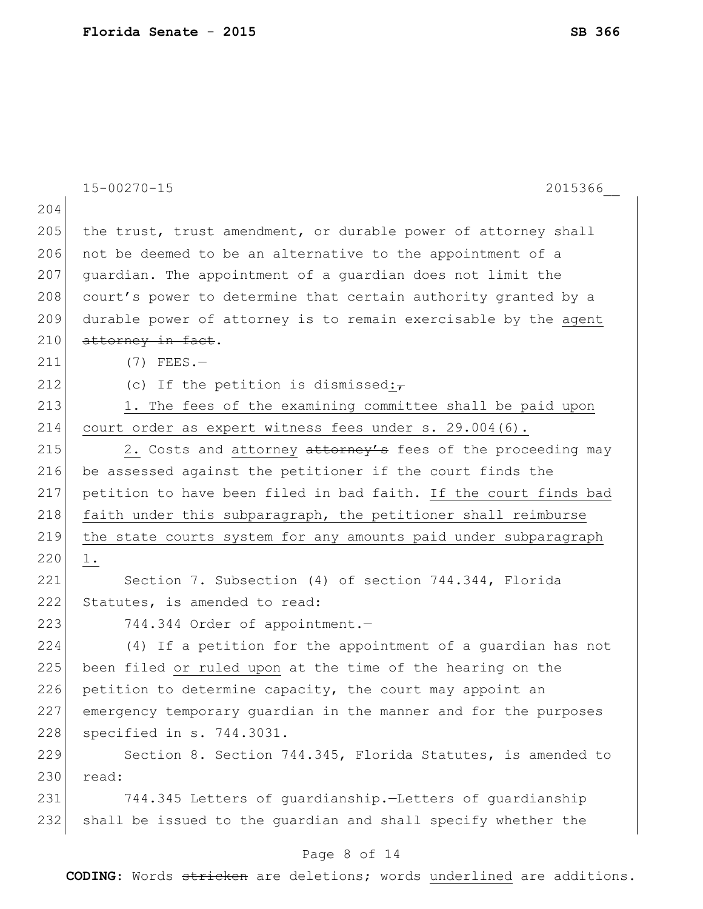|     | $15 - 00270 - 15$<br>2015366                                     |
|-----|------------------------------------------------------------------|
| 204 |                                                                  |
| 205 | the trust, trust amendment, or durable power of attorney shall   |
| 206 | not be deemed to be an alternative to the appointment of a       |
| 207 | quardian. The appointment of a quardian does not limit the       |
| 208 | court's power to determine that certain authority granted by a   |
| 209 | durable power of attorney is to remain exercisable by the agent  |
| 210 | attorney in fact.                                                |
| 211 | $(7)$ FEES.-                                                     |
| 212 | (c) If the petition is dismissed: $\tau$                         |
| 213 | 1. The fees of the examining committee shall be paid upon        |
| 214 | court order as expert witness fees under s. 29.004(6).           |
| 215 | 2. Costs and attorney attorney's fees of the proceeding may      |
| 216 | be assessed against the petitioner if the court finds the        |
| 217 | petition to have been filed in bad faith. If the court finds bad |
| 218 | faith under this subparagraph, the petitioner shall reimburse    |
| 219 | the state courts system for any amounts paid under subparagraph  |
| 220 | 1.                                                               |
| 221 | Section 7. Subsection (4) of section 744.344, Florida            |
| 222 | Statutes, is amended to read:                                    |
| 223 | 744.344 Order of appointment.-                                   |
| 224 | (4) If a petition for the appointment of a quardian has not      |
| 225 | been filed or ruled upon at the time of the hearing on the       |
| 226 | petition to determine capacity, the court may appoint an         |
| 227 | emergency temporary quardian in the manner and for the purposes  |
| 228 | specified in s. 744.3031.                                        |
| 229 | Section 8. Section 744.345, Florida Statutes, is amended to      |
| 230 | read:                                                            |
| 231 | 744.345 Letters of quardianship.-Letters of quardianship         |
| 232 | shall be issued to the guardian and shall specify whether the    |
|     | Page 8 of 14                                                     |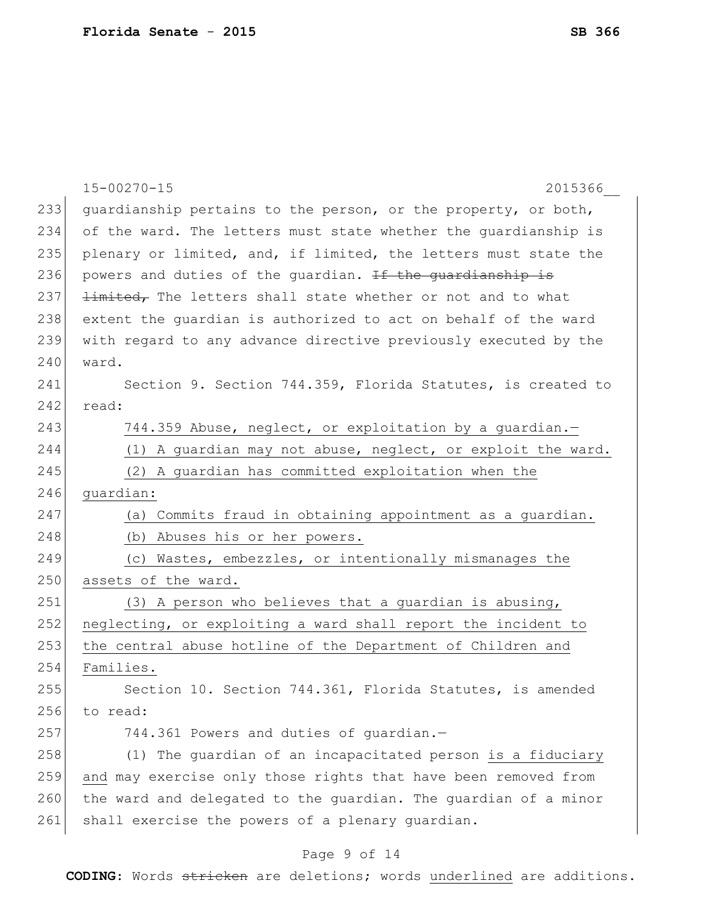|     | $15 - 00270 - 15$<br>2015366                                       |
|-----|--------------------------------------------------------------------|
| 233 | quardianship pertains to the person, or the property, or both,     |
| 234 | of the ward. The letters must state whether the quardianship is    |
| 235 | plenary or limited, and, if limited, the letters must state the    |
| 236 | powers and duties of the quardian. If the quardianship is          |
| 237 | <b>limited,</b> The letters shall state whether or not and to what |
| 238 | extent the quardian is authorized to act on behalf of the ward     |
| 239 | with regard to any advance directive previously executed by the    |
| 240 | ward.                                                              |
| 241 | Section 9. Section 744.359, Florida Statutes, is created to        |
| 242 | read:                                                              |
| 243 | 744.359 Abuse, neglect, or exploitation by a guardian.-            |
| 244 | (1) A guardian may not abuse, neglect, or exploit the ward.        |
| 245 | (2) A guardian has committed exploitation when the                 |
| 246 | guardian:                                                          |
| 247 | (a) Commits fraud in obtaining appointment as a quardian.          |
| 248 | (b) Abuses his or her powers.                                      |
| 249 | (c) Wastes, embezzles, or intentionally mismanages the             |
| 250 | assets of the ward.                                                |
| 251 | (3) A person who believes that a guardian is abusing,              |
| 252 | neglecting, or exploiting a ward shall report the incident to      |
| 253 | the central abuse hotline of the Department of Children and        |
| 254 | Families.                                                          |
| 255 | Section 10. Section 744.361, Florida Statutes, is amended          |
| 256 | to read:                                                           |
| 257 | 744.361 Powers and duties of quardian.-                            |
| 258 | (1) The guardian of an incapacitated person is a fiduciary         |
| 259 | and may exercise only those rights that have been removed from     |
| 260 | the ward and delegated to the guardian. The guardian of a minor    |
| 261 | shall exercise the powers of a plenary guardian.                   |
|     |                                                                    |

# Page 9 of 14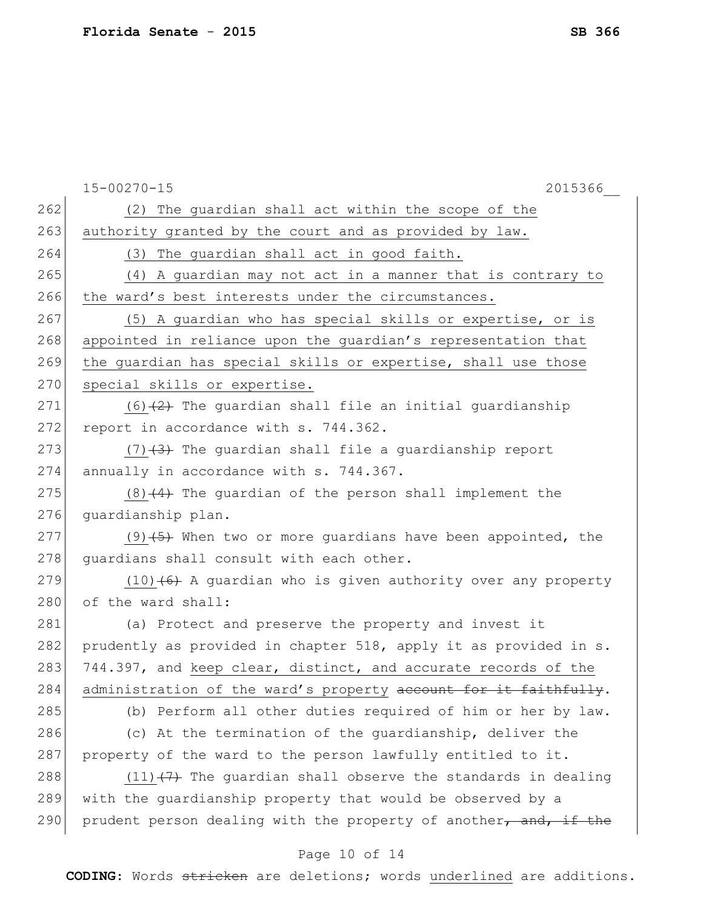|     | $15 - 00270 - 15$<br>2015366                                     |
|-----|------------------------------------------------------------------|
| 262 | (2) The guardian shall act within the scope of the               |
| 263 | authority granted by the court and as provided by law.           |
| 264 | (3) The guardian shall act in good faith.                        |
| 265 | (4) A guardian may not act in a manner that is contrary to       |
| 266 | the ward's best interests under the circumstances.               |
| 267 | (5) A quardian who has special skills or expertise, or is        |
| 268 | appointed in reliance upon the guardian's representation that    |
| 269 | the guardian has special skills or expertise, shall use those    |
| 270 | special skills or expertise.                                     |
| 271 | $(6)$ $(2)$ The quardian shall file an initial quardianship      |
| 272 | report in accordance with s. 744.362.                            |
| 273 | $(7)$ $(3)$ The quardian shall file a quardianship report        |
| 274 | annually in accordance with s. 744.367.                          |
| 275 | $(8)$ $(4)$ The guardian of the person shall implement the       |
| 276 | quardianship plan.                                               |
| 277 | $(9)$ $(5)$ When two or more guardians have been appointed, the  |
| 278 | quardians shall consult with each other.                         |
| 279 | $(10)$ (6) A guardian who is given authority over any property   |
| 280 | of the ward shall:                                               |
| 281 | (a) Protect and preserve the property and invest it              |
| 282 | prudently as provided in chapter 518, apply it as provided in s. |
| 283 | 744.397, and keep clear, distinct, and accurate records of the   |
| 284 | administration of the ward's property account for it faithfully. |
| 285 | (b) Perform all other duties required of him or her by law.      |
| 286 | (c) At the termination of the guardianship, deliver the          |
| 287 | property of the ward to the person lawfully entitled to it.      |
| 288 | $(11)$ + The quardian shall observe the standards in dealing     |
| 289 | with the guardianship property that would be observed by a       |
| 290 | prudent person dealing with the property of another, and, if the |
|     | Page 10 of 14                                                    |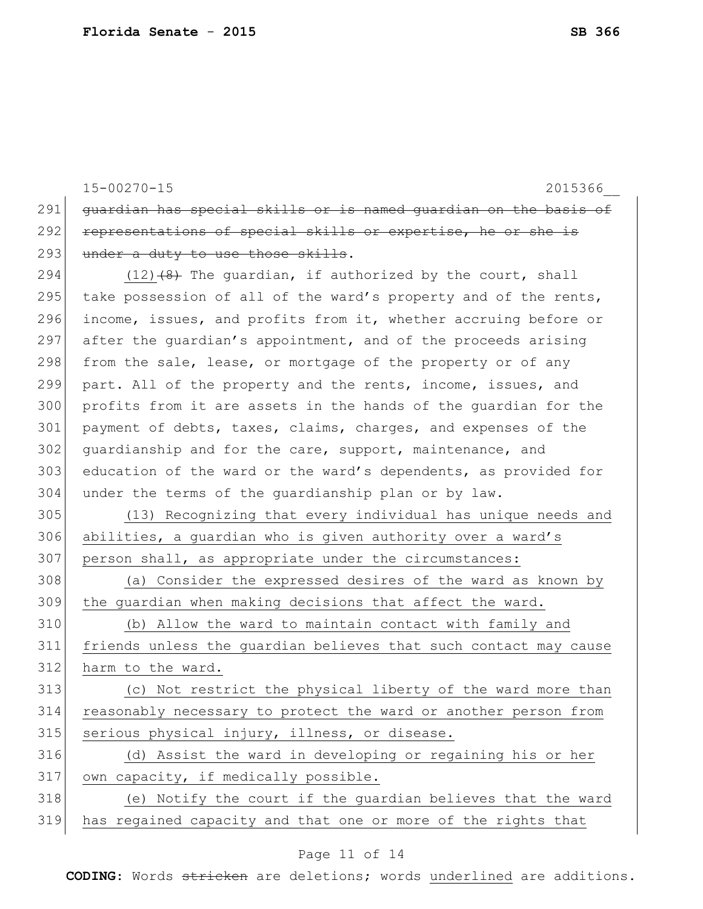|     | $15 - 00270 - 15$<br>2015366                                     |
|-----|------------------------------------------------------------------|
| 291 | quardian has special skills or is named guardian on the basis of |
| 292 | representations of special skills or expertise, he or she is     |
| 293 | under a duty to use those skills.                                |
| 294 | $(12)$ $(8)$ The quardian, if authorized by the court, shall     |
| 295 | take possession of all of the ward's property and of the rents,  |
| 296 | income, issues, and profits from it, whether accruing before or  |
| 297 | after the quardian's appointment, and of the proceeds arising    |
| 298 | from the sale, lease, or mortgage of the property or of any      |
| 299 | part. All of the property and the rents, income, issues, and     |
| 300 | profits from it are assets in the hands of the quardian for the  |
| 301 | payment of debts, taxes, claims, charges, and expenses of the    |
| 302 | quardianship and for the care, support, maintenance, and         |
| 303 | education of the ward or the ward's dependents, as provided for  |
| 304 | under the terms of the quardianship plan or by law.              |
| 305 | (13) Recognizing that every individual has unique needs and      |
| 306 | abilities, a guardian who is given authority over a ward's       |
| 307 | person shall, as appropriate under the circumstances:            |
| 308 | (a) Consider the expressed desires of the ward as known by       |
| 309 | the guardian when making decisions that affect the ward.         |
| 310 | (b) Allow the ward to maintain contact with family and           |
| 311 | friends unless the guardian believes that such contact may cause |
| 312 | harm to the ward.                                                |
| 313 | (c) Not restrict the physical liberty of the ward more than      |
| 314 | reasonably necessary to protect the ward or another person from  |
| 315 | serious physical injury, illness, or disease.                    |
| 316 | (d) Assist the ward in developing or regaining his or her        |
| 317 | own capacity, if medically possible.                             |
| 318 | (e) Notify the court if the guardian believes that the ward      |
| 319 | has regained capacity and that one or more of the rights that    |

# Page 11 of 14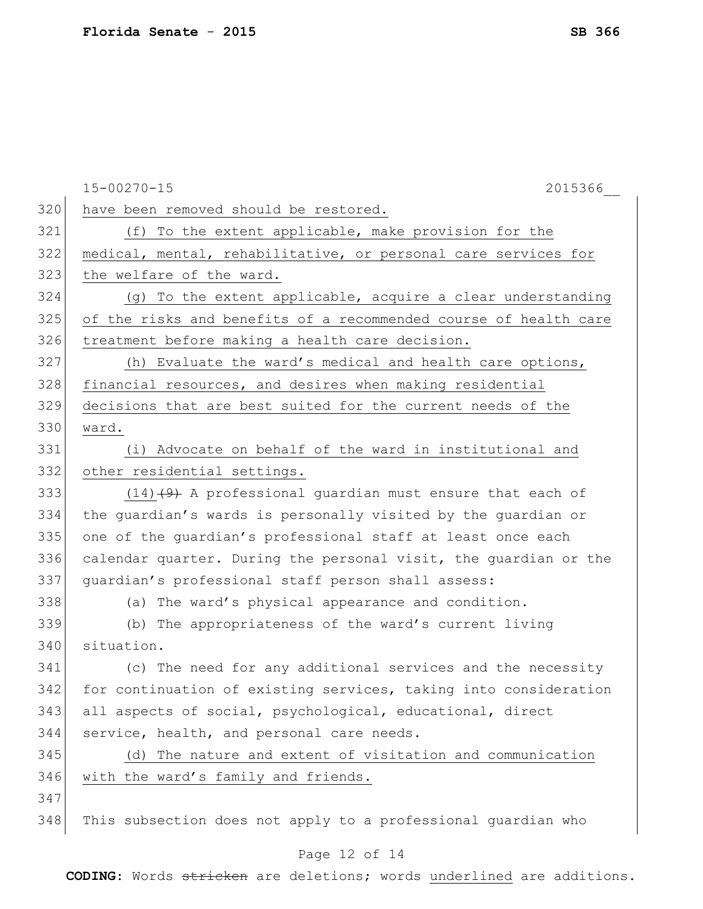|     | $15 - 00270 - 15$<br>2015366                                     |
|-----|------------------------------------------------------------------|
| 320 | have been removed should be restored.                            |
| 321 | (f) To the extent applicable, make provision for the             |
| 322 | medical, mental, rehabilitative, or personal care services for   |
| 323 | the welfare of the ward.                                         |
| 324 | (g) To the extent applicable, acquire a clear understanding      |
| 325 | of the risks and benefits of a recommended course of health care |
| 326 | treatment before making a health care decision.                  |
| 327 | (h) Evaluate the ward's medical and health care options,         |
| 328 | financial resources, and desires when making residential         |
| 329 | decisions that are best suited for the current needs of the      |
| 330 | ward.                                                            |
| 331 | (i) Advocate on behalf of the ward in institutional and          |
| 332 | other residential settings.                                      |
| 333 | $(14)$ (9) A professional guardian must ensure that each of      |
| 334 | the guardian's wards is personally visited by the guardian or    |
| 335 | one of the guardian's professional staff at least once each      |
| 336 | calendar quarter. During the personal visit, the guardian or the |
| 337 | quardian's professional staff person shall assess:               |
| 338 | (a) The ward's physical appearance and condition.                |
| 339 | (b) The appropriateness of the ward's current living             |
| 340 | situation.                                                       |
| 341 | (c) The need for any additional services and the necessity       |
| 342 | for continuation of existing services, taking into consideration |
| 343 | all aspects of social, psychological, educational, direct        |
| 344 | service, health, and personal care needs.                        |
| 345 | (d) The nature and extent of visitation and communication        |
| 346 | with the ward's family and friends.                              |
| 347 |                                                                  |
| 348 | This subsection does not apply to a professional quardian who    |
|     |                                                                  |

### Page 12 of 14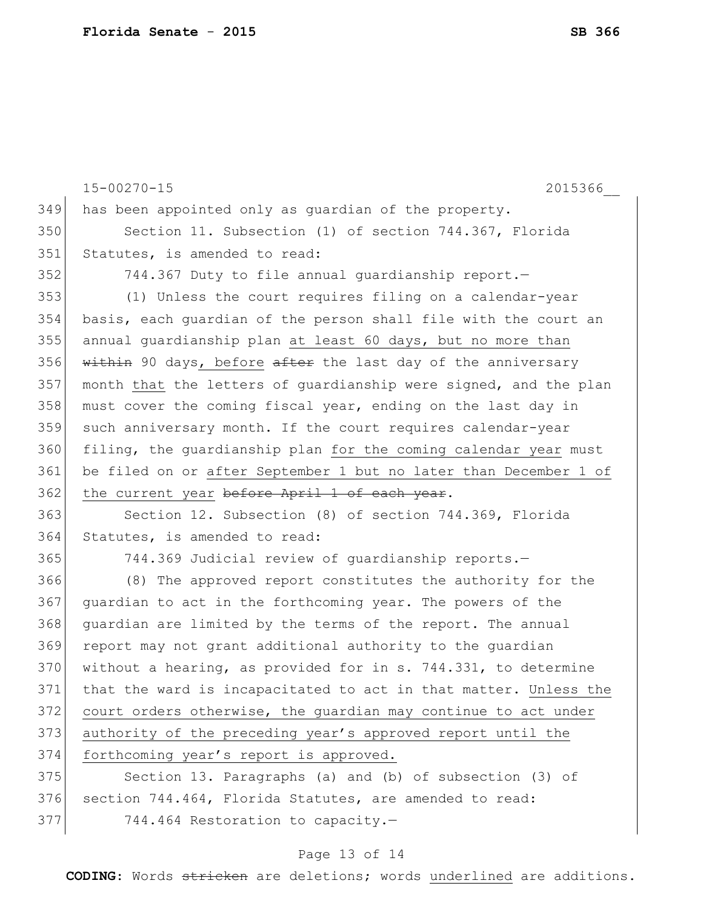15-00270-15 2015366\_\_ Page 13 of 14 349 has been appointed only as guardian of the property. 350 Section 11. Subsection (1) of section 744.367, Florida 351 Statutes, is amended to read: 352 744.367 Duty to file annual guardianship report.— 353 (1) Unless the court requires filing on a calendar-year 354 basis, each guardian of the person shall file with the court an 355 annual guardianship plan at least 60 days, but no more than 356  $\overline{\text{within 90 days}}$ , before after the last day of the anniversary 357 month that the letters of guardianship were signed, and the plan 358 must cover the coming fiscal year, ending on the last day in 359 such anniversary month. If the court requires calendar-year 360 filing, the guardianship plan for the coming calendar year must 361 be filed on or after September 1 but no later than December 1 of 362 the current year before April 1 of each year. 363 Section 12. Subsection (8) of section 744.369, Florida 364 Statutes, is amended to read: 365 744.369 Judicial review of quardianship reports. 366 (8) The approved report constitutes the authority for the 367 quardian to act in the forthcoming year. The powers of the 368 guardian are limited by the terms of the report. The annual 369 report may not grant additional authority to the guardian 370 without a hearing, as provided for in s. 744.331, to determine 371 that the ward is incapacitated to act in that matter. Unless the 372 court orders otherwise, the guardian may continue to act under 373 authority of the preceding year's approved report until the 374 forthcoming year's report is approved. 375 Section 13. Paragraphs (a) and (b) of subsection (3) of 376 section 744.464, Florida Statutes, are amended to read: 377 744.464 Restoration to capacity.-